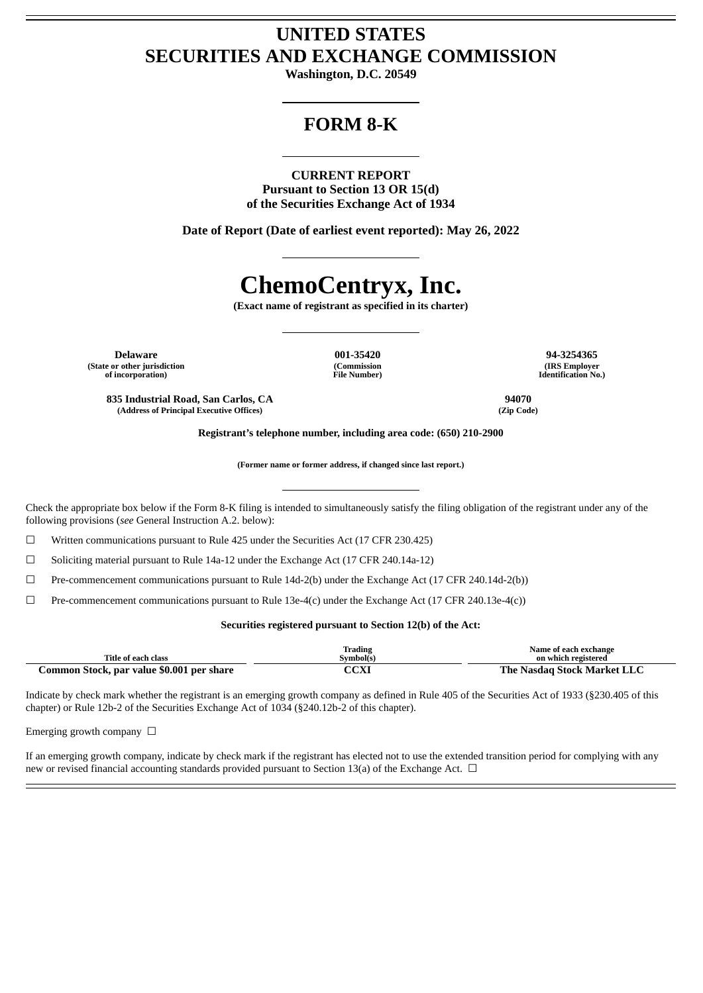# **UNITED STATES SECURITIES AND EXCHANGE COMMISSION**

**Washington, D.C. 20549**

# **FORM 8-K**

**CURRENT REPORT Pursuant to Section 13 OR 15(d) of the Securities Exchange Act of 1934**

**Date of Report (Date of earliest event reported): May 26, 2022**

# **ChemoCentryx, Inc.**

**(Exact name of registrant as specified in its charter)**

**Delaware 001-35420 94-3254365 (State or other jurisdiction of incorporation)**

**(Address of Principal Executive Offices) (Zip Code)**

**(Commission File Number)**

**(IRS Employer Identification No.)**

**835 Industrial Road, San Carlos, CA 94070**

**Registrant's telephone number, including area code: (650) 210-2900**

**(Former name or former address, if changed since last report.)**

Check the appropriate box below if the Form 8-K filing is intended to simultaneously satisfy the filing obligation of the registrant under any of the following provisions (*see* General Instruction A.2. below):

☐ Written communications pursuant to Rule 425 under the Securities Act (17 CFR 230.425)

☐ Soliciting material pursuant to Rule 14a-12 under the Exchange Act (17 CFR 240.14a-12)

 $\Box$  Pre-commencement communications pursuant to Rule 14d-2(b) under the Exchange Act (17 CFR 240.14d-2(b))

 $\Box$  Pre-commencement communications pursuant to Rule 13e-4(c) under the Exchange Act (17 CFR 240.13e-4(c))

# **Securities registered pursuant to Section 12(b) of the Act:**

| Title of each class                       | Trading<br>Svmbol(s) | Name of each exchange<br>on which registered |
|-------------------------------------------|----------------------|----------------------------------------------|
| Common Stock, par value \$0.001 per share | CCXI                 | The Nasdag Stock Market LLC                  |

Indicate by check mark whether the registrant is an emerging growth company as defined in Rule 405 of the Securities Act of 1933 (§230.405 of this chapter) or Rule 12b-2 of the Securities Exchange Act of 1034 (§240.12b-2 of this chapter).

Emerging growth company  $\Box$ 

If an emerging growth company, indicate by check mark if the registrant has elected not to use the extended transition period for complying with any new or revised financial accounting standards provided pursuant to Section 13(a) of the Exchange Act. □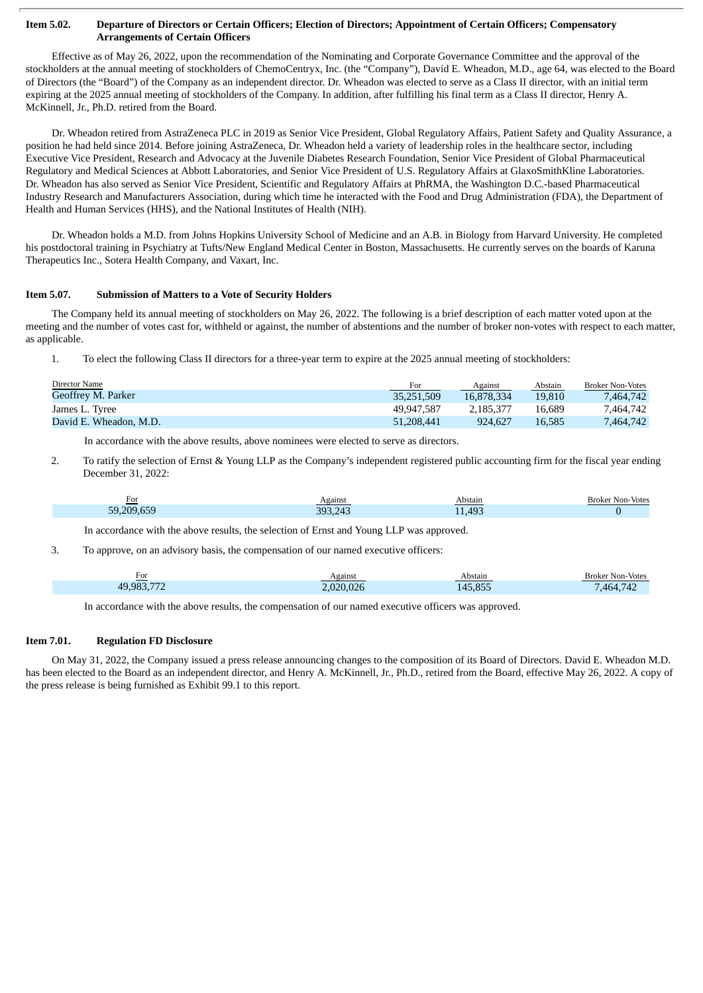## Item 5.02. Departure of Directors or Certain Officers; Election of Directors; Appointment of Certain Officers; Compensatory **Arrangements of Certain Officers**

Effective as of May 26, 2022, upon the recommendation of the Nominating and Corporate Governance Committee and the approval of the stockholders at the annual meeting of stockholders of ChemoCentryx, Inc. (the "Company"), David E. Wheadon, M.D., age 64, was elected to the Board of Directors (the "Board") of the Company as an independent director. Dr. Wheadon was elected to serve as a Class II director, with an initial term expiring at the 2025 annual meeting of stockholders of the Company. In addition, after fulfilling his final term as a Class II director, Henry A. McKinnell, Jr., Ph.D. retired from the Board.

Dr. Wheadon retired from AstraZeneca PLC in 2019 as Senior Vice President, Global Regulatory Affairs, Patient Safety and Quality Assurance, a position he had held since 2014. Before joining AstraZeneca, Dr. Wheadon held a variety of leadership roles in the healthcare sector, including Executive Vice President, Research and Advocacy at the Juvenile Diabetes Research Foundation, Senior Vice President of Global Pharmaceutical Regulatory and Medical Sciences at Abbott Laboratories, and Senior Vice President of U.S. Regulatory Affairs at GlaxoSmithKline Laboratories. Dr. Wheadon has also served as Senior Vice President, Scientific and Regulatory Affairs at PhRMA, the Washington D.C.-based Pharmaceutical Industry Research and Manufacturers Association, during which time he interacted with the Food and Drug Administration (FDA), the Department of Health and Human Services (HHS), and the National Institutes of Health (NIH).

Dr. Wheadon holds a M.D. from Johns Hopkins University School of Medicine and an A.B. in Biology from Harvard University. He completed his postdoctoral training in Psychiatry at Tufts/New England Medical Center in Boston, Massachusetts. He currently serves on the boards of Karuna Therapeutics Inc., Sotera Health Company, and Vaxart, Inc.

# **Item 5.07. Submission of Matters to a Vote of Security Holders**

The Company held its annual meeting of stockholders on May 26, 2022. The following is a brief description of each matter voted upon at the meeting and the number of votes cast for, withheld or against, the number of abstentions and the number of broker non-votes with respect to each matter, as applicable.

1. To elect the following Class II directors for a three-year term to expire at the 2025 annual meeting of stockholders:

| Director Name          | For        | Against    | <u>Abstain</u> | <b>Broker Non-Votes</b> |
|------------------------|------------|------------|----------------|-------------------------|
| Geoffrey M. Parker     | 35.251.509 | 16.878.334 | 19.810         | 7,464,742               |
| James L. Tyree         | 49.947.587 | 2.185.377  | 16.689         | 7.464.742               |
| David E. Wheadon, M.D. | 51,208,441 | 924.627    | 16.585         | 7.464.742               |

In accordance with the above results, above nominees were elected to serve as directors.

2. To ratify the selection of Ernst & Young LLP as the Company's independent registered public accounting firm for the fiscal year ending December 31, 2022:

| For        | Against | Abstain | Broker Non-Votes |
|------------|---------|---------|------------------|
| 59,209,659 | 393.243 | 11,493  |                  |

In accordance with the above results, the selection of Ernst and Young LLP was approved.

3. To approve, on an advisory basis, the compensation of our named executive officers:

| For       | Against   | Abstain | <b>Broker Non-Votes</b> |
|-----------|-----------|---------|-------------------------|
| 49,983,77 | 2.020.026 | 145.855 | .464.742                |

In accordance with the above results, the compensation of our named executive officers was approved.

# **Item 7.01. Regulation FD Disclosure**

On May 31, 2022, the Company issued a press release announcing changes to the composition of its Board of Directors. David E. Wheadon M.D. has been elected to the Board as an independent director, and Henry A. McKinnell, Jr., Ph.D., retired from the Board, effective May 26, 2022. A copy of the press release is being furnished as Exhibit 99.1 to this report.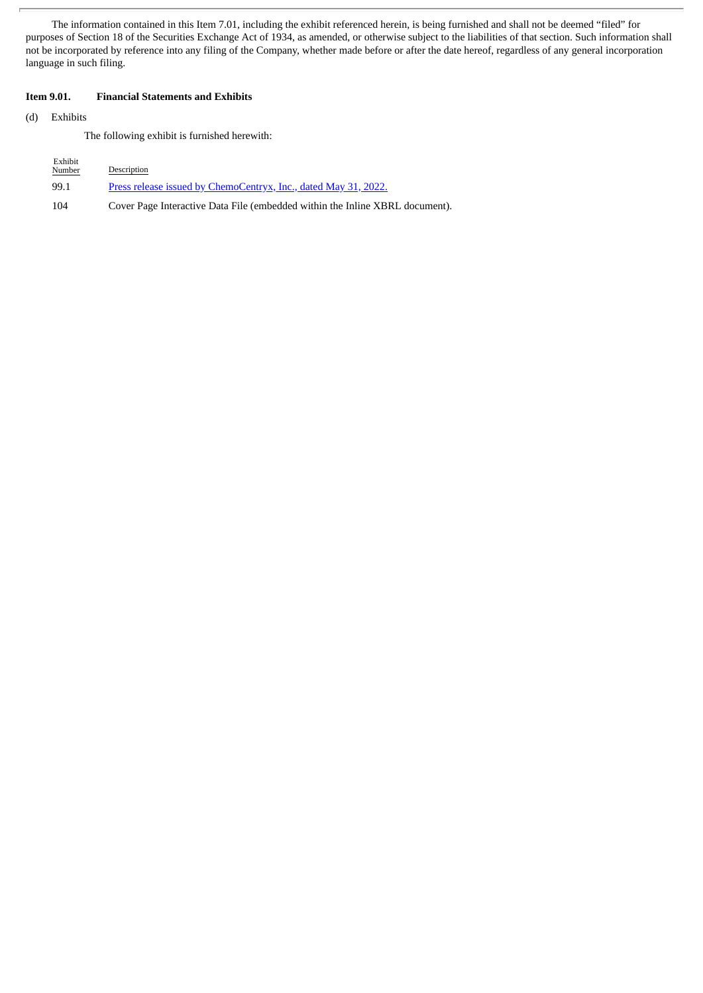The information contained in this Item 7.01, including the exhibit referenced herein, is being furnished and shall not be deemed "filed" for purposes of Section 18 of the Securities Exchange Act of 1934, as amended, or otherwise subject to the liabilities of that section. Such information shall not be incorporated by reference into any filing of the Company, whether made before or after the date hereof, regardless of any general incorporation language in such filing.

# **Item 9.01. Financial Statements and Exhibits**

(d) Exhibits

The following exhibit is furnished herewith:

| Exhibit<br>Number | Description                                                                  |
|-------------------|------------------------------------------------------------------------------|
| 99.1              | Press release issued by ChemoCentryx, Inc., dated May 31, 2022.              |
| 104               | Cover Page Interactive Data File (embedded within the Inline XBRL document). |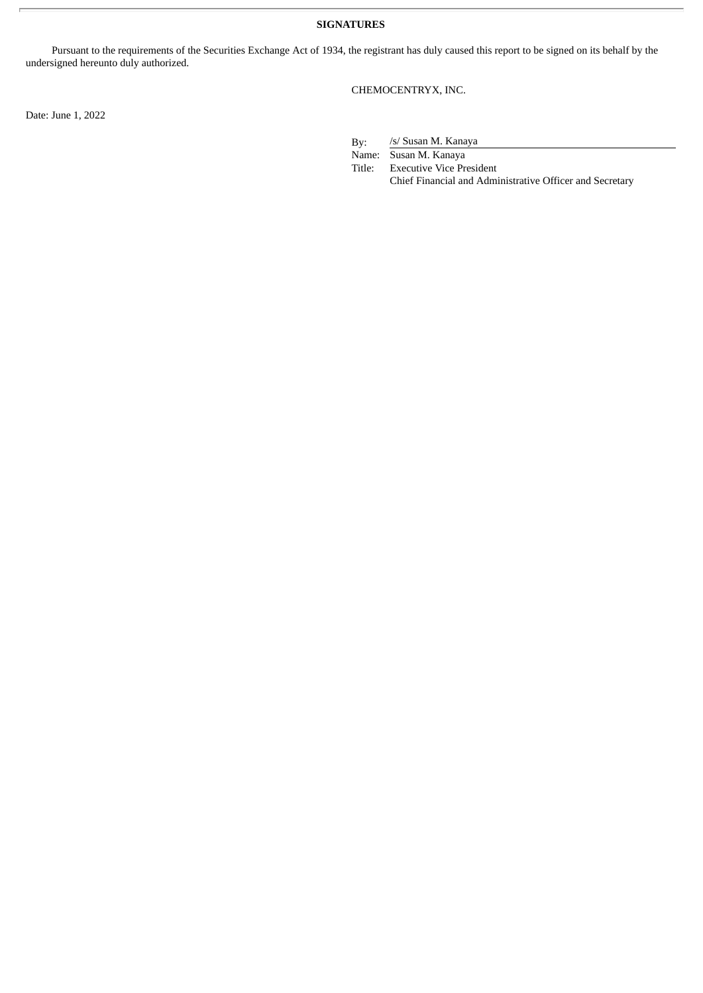**SIGNATURES**

Pursuant to the requirements of the Securities Exchange Act of 1934, the registrant has duly caused this report to be signed on its behalf by the undersigned hereunto duly authorized.

CHEMOCENTRYX, INC.

Date: June 1, 2022

By: /s/ Susan M. Kanaya

Name: Susan M. Kanaya

Title: Executive Vice President Chief Financial and Administrative Officer and Secretary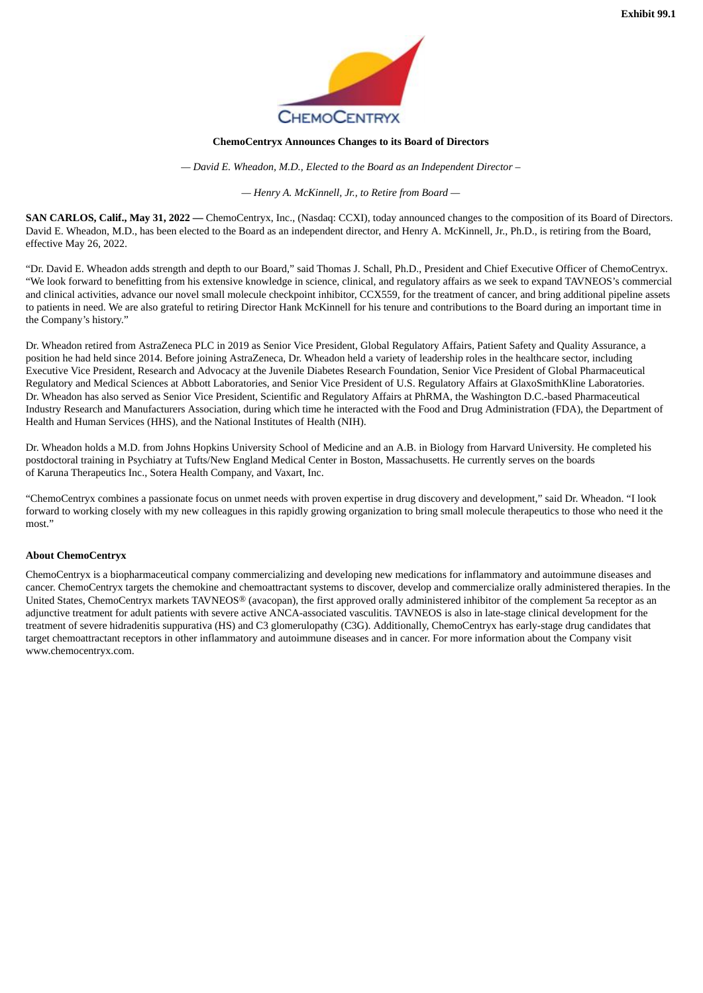

## **ChemoCentryx Announces Changes to its Board of Directors**

*— David E. Wheadon, M.D., Elected to the Board as an Independent Director –*

*— Henry A. McKinnell, Jr., to Retire from Board —*

<span id="page-4-0"></span>**SAN CARLOS, Calif., May 31, 2022 —** ChemoCentryx, Inc., (Nasdaq: CCXI), today announced changes to the composition of its Board of Directors. David E. Wheadon, M.D., has been elected to the Board as an independent director, and Henry A. McKinnell, Jr., Ph.D., is retiring from the Board, effective May 26, 2022.

"Dr. David E. Wheadon adds strength and depth to our Board," said Thomas J. Schall, Ph.D., President and Chief Executive Officer of ChemoCentryx. "We look forward to benefitting from his extensive knowledge in science, clinical, and regulatory affairs as we seek to expand TAVNEOS's commercial and clinical activities, advance our novel small molecule checkpoint inhibitor, CCX559, for the treatment of cancer, and bring additional pipeline assets to patients in need. We are also grateful to retiring Director Hank McKinnell for his tenure and contributions to the Board during an important time in the Company's history."

Dr. Wheadon retired from AstraZeneca PLC in 2019 as Senior Vice President, Global Regulatory Affairs, Patient Safety and Quality Assurance, a position he had held since 2014. Before joining AstraZeneca, Dr. Wheadon held a variety of leadership roles in the healthcare sector, including Executive Vice President, Research and Advocacy at the Juvenile Diabetes Research Foundation, Senior Vice President of Global Pharmaceutical Regulatory and Medical Sciences at Abbott Laboratories, and Senior Vice President of U.S. Regulatory Affairs at GlaxoSmithKline Laboratories. Dr. Wheadon has also served as Senior Vice President, Scientific and Regulatory Affairs at PhRMA, the Washington D.C.-based Pharmaceutical Industry Research and Manufacturers Association, during which time he interacted with the Food and Drug Administration (FDA), the Department of Health and Human Services (HHS), and the National Institutes of Health (NIH).

Dr. Wheadon holds a M.D. from Johns Hopkins University School of Medicine and an A.B. in Biology from Harvard University. He completed his postdoctoral training in Psychiatry at Tufts/New England Medical Center in Boston, Massachusetts. He currently serves on the boards of Karuna Therapeutics Inc., Sotera Health Company, and Vaxart, Inc.

"ChemoCentryx combines a passionate focus on unmet needs with proven expertise in drug discovery and development," said Dr. Wheadon. "I look forward to working closely with my new colleagues in this rapidly growing organization to bring small molecule therapeutics to those who need it the most."

# **About ChemoCentryx**

ChemoCentryx is a biopharmaceutical company commercializing and developing new medications for inflammatory and autoimmune diseases and cancer. ChemoCentryx targets the chemokine and chemoattractant systems to discover, develop and commercialize orally administered therapies. In the United States, ChemoCentryx markets TAVNEOS® (avacopan), the first approved orally administered inhibitor of the complement 5a receptor as an adjunctive treatment for adult patients with severe active ANCA-associated vasculitis. TAVNEOS is also in late-stage clinical development for the treatment of severe hidradenitis suppurativa (HS) and C3 glomerulopathy (C3G). Additionally, ChemoCentryx has early-stage drug candidates that target chemoattractant receptors in other inflammatory and autoimmune diseases and in cancer. For more information about the Company visit www.chemocentryx.com.